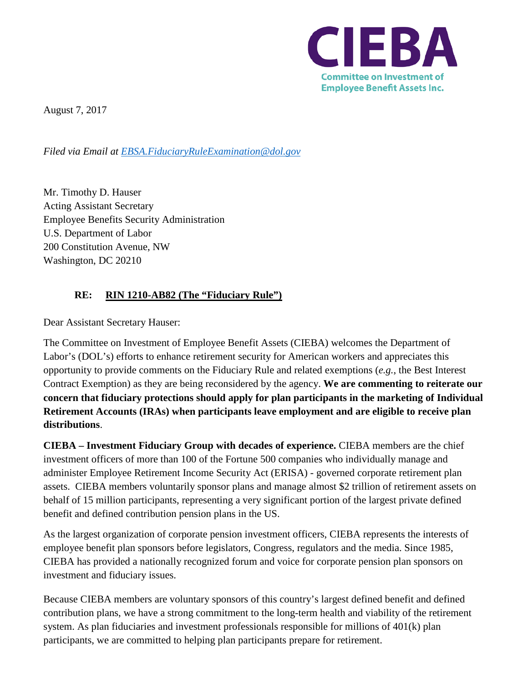

August 7, 2017

*Filed via Email at [EBSA.FiduciaryRuleExamination@dol.gov](mailto:EBSA.FiduciaryRuleExamination@dol.gov)*

Mr. Timothy D. Hauser Acting Assistant Secretary Employee Benefits Security Administration U.S. Department of Labor 200 Constitution Avenue, NW Washington, DC 20210

## **RE: RIN 1210-AB82 (The "Fiduciary Rule")**

Dear Assistant Secretary Hauser:

The Committee on Investment of Employee Benefit Assets (CIEBA) welcomes the Department of Labor's (DOL's) efforts to enhance retirement security for American workers and appreciates this opportunity to provide comments on the Fiduciary Rule and related exemptions (*e.g.*, the Best Interest Contract Exemption) as they are being reconsidered by the agency. **We are commenting to reiterate our concern that fiduciary protections should apply for plan participants in the marketing of Individual Retirement Accounts (IRAs) when participants leave employment and are eligible to receive plan distributions**.

**CIEBA – Investment Fiduciary Group with decades of experience.** CIEBA members are the chief investment officers of more than 100 of the Fortune 500 companies who individually manage and administer Employee Retirement Income Security Act (ERISA) - governed corporate retirement plan assets. CIEBA members voluntarily sponsor plans and manage almost \$2 trillion of retirement assets on behalf of 15 million participants, representing a very significant portion of the largest private defined benefit and defined contribution pension plans in the US.

As the largest organization of corporate pension investment officers, CIEBA represents the interests of employee benefit plan sponsors before legislators, Congress, regulators and the media. Since 1985, CIEBA has provided a nationally recognized forum and voice for corporate pension plan sponsors on investment and fiduciary issues.

Because CIEBA members are voluntary sponsors of this country's largest defined benefit and defined contribution plans, we have a strong commitment to the long-term health and viability of the retirement system. As plan fiduciaries and investment professionals responsible for millions of 401(k) plan participants, we are committed to helping plan participants prepare for retirement.